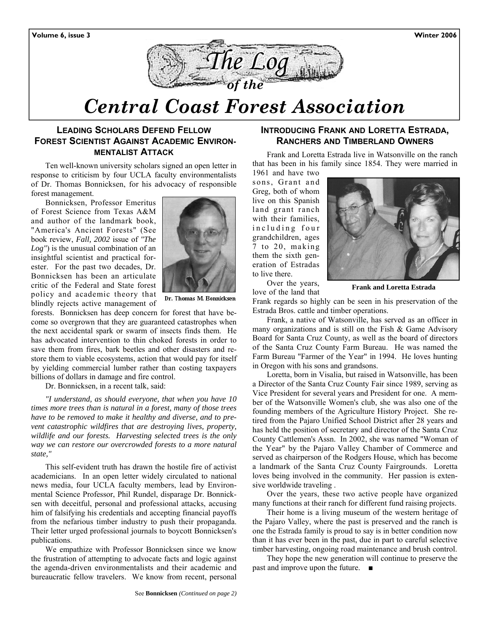Volume 6, issue 3 Winter 2006 **Volume 6, issue 3 Winter 2006** *of the Central Coast Forest Association The Log* 

# **LEADING SCHOLARS DEFEND FELLOW FOREST SCIENTIST AGAINST ACADEMIC ENVIRON-MENTALIST ATTACK**

Ten well-known university scholars signed an open letter in response to criticism by four UCLA faculty environmentalists of Dr. Thomas Bonnicksen, for his advocacy of responsible forest management.

Bonnicksen, Professor Emeritus of Forest Science from Texas A&M and author of the landmark book, "America's Ancient Forests" (See book review, *Fall, 2002* issue of *"The Log"*) is the unusual combination of an insightful scientist and practical forester. For the past two decades, Dr. Bonnicksen has been an articulate critic of the Federal and State forest policy and academic theory that blindly rejects active management of



Dr. Thomas M. Bonnicksen

forests. Bonnicksen has deep concern for forest that have become so overgrown that they are guaranteed catastrophes when the next accidental spark or swarm of insects finds them. He has advocated intervention to thin choked forests in order to save them from fires, bark beetles and other disasters and restore them to viable ecosystems, action that would pay for itself by yielding commercial lumber rather than costing taxpayers billions of dollars in damage and fire control.

Dr. Bonnicksen, in a recent talk, said:

*"I understand, as should everyone, that when you have 10 times more trees than is natural in a forest, many of those trees have to be removed to make it healthy and diverse, and to prevent catastrophic wildfires that are destroying lives, property, wildlife and our forests. Harvesting selected trees is the only way we can restore our overcrowded forests to a more natural state,"*

This self-evident truth has drawn the hostile fire of activist academicians. In an open letter widely circulated to national news media, four UCLA faculty members, lead by Environmental Science Professor, Phil Rundel, disparage Dr. Bonnicksen with deceitful, personal and professional attacks, accusing him of falsifying his credentials and accepting financial payoffs from the nefarious timber industry to push their propaganda. Their letter urged professional journals to boycott Bonnicksen's publications.

We empathize with Professor Bonnicksen since we know the frustration of attempting to advocate facts and logic against the agenda-driven environmentalists and their academic and bureaucratic fellow travelers. We know from recent, personal

# **INTRODUCING FRANK AND LORETTA ESTRADA, RANCHERS AND TIMBERLAND OWNERS**

Frank and Loretta Estrada live in Watsonville on the ranch that has been in his family since 1854. They were married in

1961 and have two sons, Grant and Greg, both of whom live on this Spanish land grant ranch with their families, including four grandchildren, ages 7 to 20, making them the sixth generation of Estradas to live there.



Over the years, love of the land that

**Frank and Loretta Estrada** 

Frank regards so highly can be seen in his preservation of the Estrada Bros. cattle and timber operations.

Frank, a native of Watsonville, has served as an officer in many organizations and is still on the Fish & Game Advisory Board for Santa Cruz County, as well as the board of directors of the Santa Cruz County Farm Bureau. He was named the Farm Bureau "Farmer of the Year" in 1994. He loves hunting in Oregon with his sons and grandsons.

Loretta, born in Visalia, but raised in Watsonville, has been a Director of the Santa Cruz County Fair since 1989, serving as Vice President for several years and President for one. A member of the Watsonville Women's club, she was also one of the founding members of the Agriculture History Project. She retired from the Pajaro Unified School District after 28 years and has held the position of secretary and director of the Santa Cruz County Cattlemen's Assn. In 2002, she was named "Woman of the Year" by the Pajaro Valley Chamber of Commerce and served as chairperson of the Rodgers House, which has become a landmark of the Santa Cruz County Fairgrounds. Loretta loves being involved in the community. Her passion is extensive worldwide traveling .

Over the years, these two active people have organized many functions at their ranch for different fund raising projects.

Their home is a living museum of the western heritage of the Pajaro Valley, where the past is preserved and the ranch is one the Estrada family is proud to say is in better condition now than it has ever been in the past, due in part to careful selective timber harvesting, ongoing road maintenance and brush control.

They hope the new generation will continue to preserve the past and improve upon the future. ■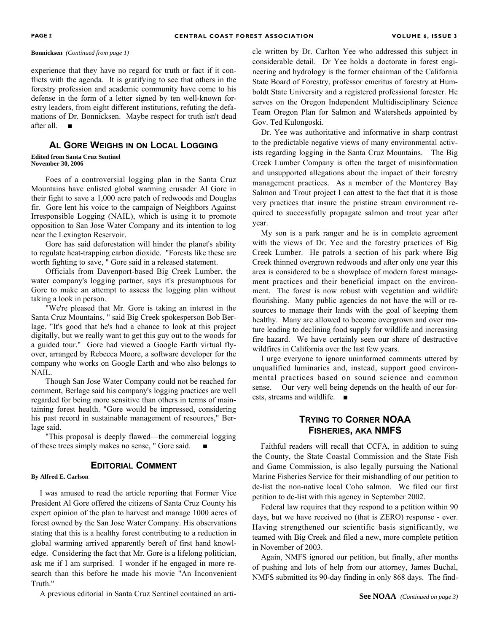**Bonnicksen** *(Continued from page 1)*

experience that they have no regard for truth or fact if it conflicts with the agenda. It is gratifying to see that others in the forestry profession and academic community have come to his defense in the form of a letter signed by ten well-known forestry leaders, from eight different institutions, refuting the defamations of Dr. Bonnicksen. Maybe respect for truth isn't dead after all. ■

## **AL GORE WEIGHS IN ON LOCAL LOGGING**

**Edited from Santa Cruz Sentinel November 30, 2006** 

Foes of a controversial logging plan in the Santa Cruz Mountains have enlisted global warming crusader Al Gore in their fight to save a 1,000 acre patch of redwoods and Douglas fir. Gore lent his voice to the campaign of Neighbors Against Irresponsible Logging (NAIL), which is using it to promote opposition to San Jose Water Company and its intention to log near the Lexington Reservoir.

Gore has said deforestation will hinder the planet's ability to regulate heat-trapping carbon dioxide. "Forests like these are worth fighting to save, " Gore said in a released statement.

Officials from Davenport-based Big Creek Lumber, the water company's logging partner, says it's presumptuous for Gore to make an attempt to assess the logging plan without taking a look in person.

"We're pleased that Mr. Gore is taking an interest in the Santa Cruz Mountains, " said Big Creek spokesperson Bob Berlage. "It's good that he's had a chance to look at this project digitally, but we really want to get this guy out to the woods for a guided tour." Gore had viewed a Google Earth virtual flyover, arranged by Rebecca Moore, a software developer for the company who works on Google Earth and who also belongs to NAIL.

Though San Jose Water Company could not be reached for comment, Berlage said his company's logging practices are well regarded for being more sensitive than others in terms of maintaining forest health. "Gore would be impressed, considering his past record in sustainable management of resources," Berlage said.

"This proposal is deeply flawed—the commercial logging of these trees simply makes no sense, " Gore said.

#### **EDITORIAL COMMENT**

#### **By Alfred E. Carlson**

I was amused to read the article reporting that Former Vice President Al Gore offered the citizens of Santa Cruz County his expert opinion of the plan to harvest and manage 1000 acres of forest owned by the San Jose Water Company. His observations stating that this is a healthy forest contributing to a reduction in global warming arrived apparently bereft of first hand knowledge. Considering the fact that Mr. Gore is a lifelong politician, ask me if I am surprised. I wonder if he engaged in more research than this before he made his movie "An Inconvenient Truth."

A previous editorial in Santa Cruz Sentinel contained an arti-

cle written by Dr. Carlton Yee who addressed this subject in considerable detail. Dr Yee holds a doctorate in forest engineering and hydrology is the former chairman of the California State Board of Forestry, professor emeritus of forestry at Humboldt State University and a registered professional forester. He serves on the Oregon Independent Multidisciplinary Science Team Oregon Plan for Salmon and Watersheds appointed by Gov. Ted Kulongoski.

Dr. Yee was authoritative and informative in sharp contrast to the predictable negative views of many environmental activists regarding logging in the Santa Cruz Mountains. The Big Creek Lumber Company is often the target of misinformation and unsupported allegations about the impact of their forestry management practices. As a member of the Monterey Bay Salmon and Trout project I can attest to the fact that it is those very practices that insure the pristine stream environment required to successfully propagate salmon and trout year after year.

My son is a park ranger and he is in complete agreement with the views of Dr. Yee and the forestry practices of Big Creek Lumber. He patrols a section of his park where Big Creek thinned overgrown redwoods and after only one year this area is considered to be a showplace of modern forest management practices and their beneficial impact on the environment. The forest is now robust with vegetation and wildlife flourishing. Many public agencies do not have the will or resources to manage their lands with the goal of keeping them healthy. Many are allowed to become overgrown and over mature leading to declining food supply for wildlife and increasing fire hazard. We have certainly seen our share of destructive wildfires in California over the last few years.

I urge everyone to ignore uninformed comments uttered by unqualified luminaries and, instead, support good environmental practices based on sound science and common sense. Our very well being depends on the health of our forests, streams and wildlife. ■

# **TRYING TO CORNER NOAA FISHERIES, AKA NMFS**

Faithful readers will recall that CCFA, in addition to suing the County, the State Coastal Commission and the State Fish and Game Commission, is also legally pursuing the National Marine Fisheries Service for their mishandling of our petition to de-list the non-native local Coho salmon. We filed our first petition to de-list with this agency in September 2002.

Federal law requires that they respond to a petition within 90 days, but we have received no (that is ZERO) response - ever. Having strengthened our scientific basis significantly, we teamed with Big Creek and filed a new, more complete petition in November of 2003.

Again, NMFS ignored our petition, but finally, after months of pushing and lots of help from our attorney, James Buchal, NMFS submitted its 90-day finding in only 868 days. The find-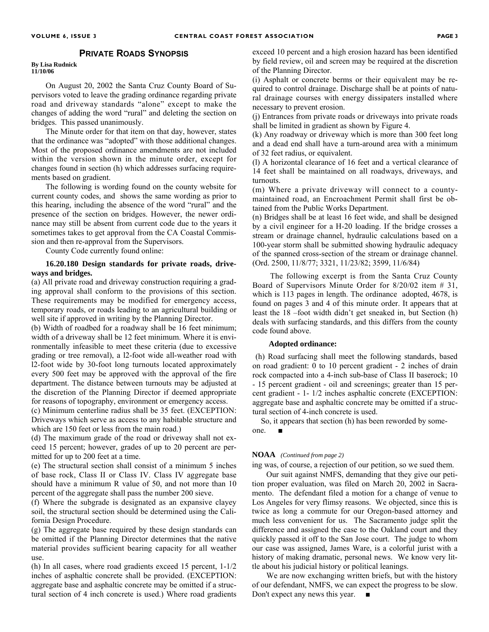#### **PRIVATE ROADS SYNOPSIS**

**By Lisa Rudnick 11/10/06**

On August 20, 2002 the Santa Cruz County Board of Supervisors voted to leave the grading ordinance regarding private road and driveway standards "alone" except to make the changes of adding the word "rural" and deleting the section on bridges. This passed unanimously.

The Minute order for that item on that day, however, states that the ordinance was "adopted" with those additional changes. Most of the proposed ordinance amendments are not included within the version shown in the minute order, except for changes found in section (h) which addresses surfacing requirements based on gradient.

The following is wording found on the county website for current county codes, and shows the same wording as prior to this hearing, including the absence of the word "rural" and the presence of the section on bridges. However, the newer ordinance may still be absent from current code due to the years it sometimes takes to get approval from the CA Coastal Commission and then re-approval from the Supervisors.

County Code currently found online:

#### **16.20.180 Design standards for private roads, driveways and bridges.**

(a) All private road and driveway construction requiring a grading approval shall conform to the provisions of this section. These requirements may be modified for emergency access, temporary roads, or roads leading to an agricultural building or well site if approved in writing by the Planning Director.

(b) Width of roadbed for a roadway shall be 16 feet minimum; width of a driveway shall be 12 feet minimum. Where it is environmentally infeasible to meet these criteria (due to excessive grading or tree removal), a l2-foot wide all-weather road with l2-foot wide by 30-foot long turnouts located approximately every 500 feet may be approved with the approval of the fire department. The distance between turnouts may be adjusted at the discretion of the Planning Director if deemed appropriate for reasons of topography, environment or emergency access.

(c) Minimum centerline radius shall be 35 feet. (EXCEPTION: Driveways which serve as access to any habitable structure and which are 150 feet or less from the main road.)

(d) The maximum grade of the road or driveway shall not exceed 15 percent; however, grades of up to 20 percent are permitted for up to 200 feet at a time.

(e) The structural section shall consist of a minimum 5 inches of base rock, Class II or Class IV. Class IV aggregate base should have a minimum R value of 50, and not more than 10 percent of the aggregate shall pass the number 200 sieve.

(f) Where the subgrade is designated as an expansive clayey soil, the structural section should be determined using the California Design Procedure.

(g) The aggregate base required by these design standards can be omitted if the Planning Director determines that the native material provides sufficient bearing capacity for all weather use.

(h) In all cases, where road gradients exceed 15 percent, 1-1/2 inches of asphaltic concrete shall be provided. (EXCEPTION: aggregate base and asphaltic concrete may be omitted if a structural section of 4 inch concrete is used.) Where road gradients exceed 10 percent and a high erosion hazard has been identified by field review, oil and screen may be required at the discretion of the Planning Director.

(i) Asphalt or concrete berms or their equivalent may be required to control drainage. Discharge shall be at points of natural drainage courses with energy dissipaters installed where necessary to prevent erosion.

(j) Entrances from private roads or driveways into private roads shall be limited in gradient as shown by Figure 4.

(k) Any roadway or driveway which is more than 300 feet long and a dead end shall have a turn-around area with a minimum of 32 feet radius, or equivalent.

(l) A horizontal clearance of 16 feet and a vertical clearance of 14 feet shall be maintained on all roadways, driveways, and turnouts.

(m) Where a private driveway will connect to a countymaintained road, an Encroachment Permit shall first be obtained from the Public Works Department.

(n) Bridges shall be at least 16 feet wide, and shall be designed by a civil engineer for a H-20 loading. If the bridge crosses a stream or drainage channel, hydraulic calculations based on a 100-year storm shall be submitted showing hydraulic adequacy of the spanned cross-section of the stream or drainage channel. (Ord. 2500, 11/8/77; 3321, 11/23/82; 3599, 11/6/84)

 The following excerpt is from the Santa Cruz County Board of Supervisors Minute Order for 8/20/02 item # 31, which is 113 pages in length. The ordinance adopted, 4678, is found on pages 3 and 4 of this minute order. It appears that at least the 18 –foot width didn't get sneaked in, but Section (h) deals with surfacing standards, and this differs from the county code found above.

#### **Adopted ordinance:**

 (h) Road surfacing shall meet the following standards, based on road gradient: 0 to 10 percent gradient - 2 inches of drain rock compacted into a 4-inch sub-base of Class II baserock; 10 - 15 percent gradient - oil and screenings; greater than 15 percent gradient - 1- 1/2 inches asphaltic concrete (EXCEPTION: aggregate base and asphaltic concrete may be omitted if a structural section of 4-inch concrete is used.

So, it appears that section (h) has been reworded by someone. ■

#### **NOAA** *(Continued from page 2)*

ing was, of course, a rejection of our petition, so we sued them.

Our suit against NMFS, demanding that they give our petition proper evaluation, was filed on March 20, 2002 in Sacramento. The defendant filed a motion for a change of venue to Los Angeles for very flimsy reasons. We objected, since this is twice as long a commute for our Oregon-based attorney and much less convenient for us. The Sacramento judge split the difference and assigned the case to the Oakland court and they quickly passed it off to the San Jose court. The judge to whom our case was assigned, James Ware, is a colorful jurist with a history of making dramatic, personal news. We know very little about his judicial history or political leanings.

We are now exchanging written briefs, but with the history of our defendant, NMFS, we can expect the progress to be slow. Don't expect any news this year. ■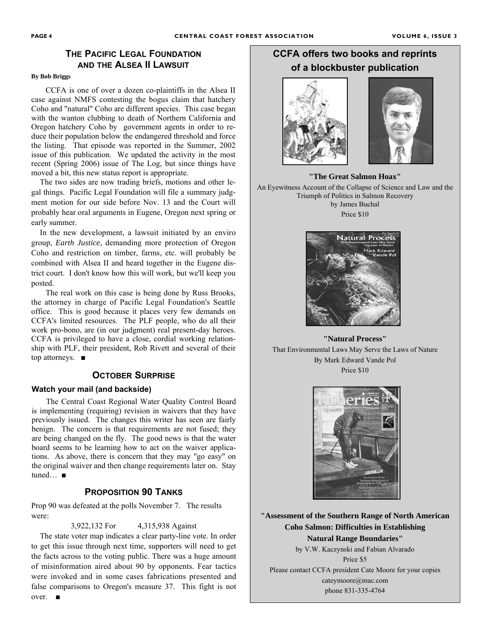# **THE PACIFIC LEGAL FOUNDATION AND THE ALSEA II LAWSUIT**

#### **By Bob Briggs**

CCFA is one of over a dozen co-plaintiffs in the Alsea II case against NMFS contesting the bogus claim that hatchery Coho and "natural" Coho are different species. This case began with the wanton clubbing to death of Northern California and Oregon hatchery Coho by government agents in order to reduce their population below the endangered threshold and force the listing. That episode was reported in the Summer, 2002 issue of this publication. We updated the activity in the most recent (Spring 2006) issue of The Log, but since things have moved a bit, this new status report is appropriate.

The two sides are now trading briefs, motions and other legal things. Pacific Legal Foundation will file a summary judgment motion for our side before Nov. 13 and the Court will probably hear oral arguments in Eugene, Oregon next spring or early summer.

In the new development, a lawsuit initiated by an enviro group, *Earth Justice,* demanding more protection of Oregon Coho and restriction on timber, farms, etc. will probably be combined with Alsea II and heard together in the Eugene district court. I don't know how this will work, but we'll keep you posted.

The real work on this case is being done by Russ Brooks, the attorney in charge of Pacific Legal Foundation's Seattle office. This is good because it places very few demands on CCFA's limited resources. The PLF people, who do all their work pro-bono, are (in our judgment) real present-day heroes. CCFA is privileged to have a close, cordial working relationship with PLF, their president, Rob Rivett and several of their top attorneys. ■

## **OCTOBER SURPRISE**

#### **Watch your mail (and backside)**

The Central Coast Regional Water Quality Control Board is implementing (requiring) revision in waivers that they have previously issued. The changes this writer has seen are fairly benign. The concern is that requirements are not fused; they are being changed on the fly. The good news is that the water board seems to be learning how to act on the waiver applications. As above, there is concern that they may "go easy" on the original waiver and then change requirements later on. Stay tuned… ■

## **PROPOSITION 90 TANKS**

Prop 90 was defeated at the polls November 7. The results were:

3,922,132 For 4,315,938 Against

The state voter map indicates a clear party-line vote. In order to get this issue through next time, supporters will need to get the facts across to the voting public. There was a huge amount of misinformation aired about 90 by opponents. Fear tactics were invoked and in some cases fabrications presented and false comparisons to Oregon's measure 37. This fight is not over. ■

# **CCFA offers two books and reprints of a blockbuster publication**



**"The Great Salmon Hoax"**  An Eyewitness Account of the Collapse of Science and Law and the Triumph of Politics in Salmon Recovery by James Buchal Price \$10



**"Natural Process"**  That Environmental Laws May Serve the Laws of Nature By Mark Edward Vande Pol Price \$10



**"Assessment of the Southern Range of North American Coho Salmon: Difficulties in Establishing Natural Range Boundaries"**  by V.W. Kaczynski and Fabian Alvarado Price \$5

Please contact CCFA president Cate Moore for your copies cateymoore@mac.com phone 831-335-4764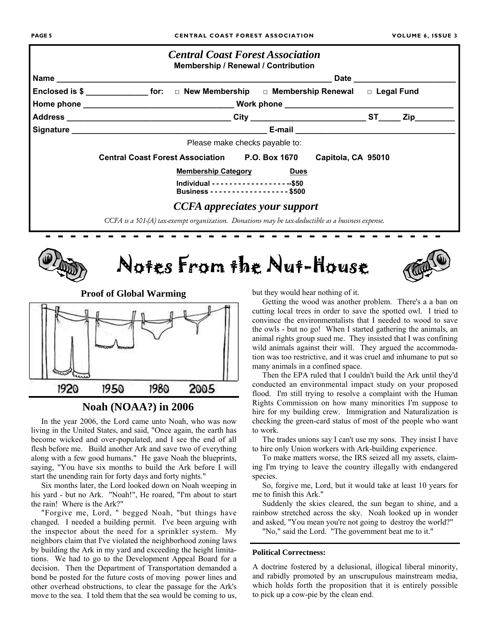|  |                                                                                                   |             |                                                                                                                |  | <b>Date Date</b> |  |
|--|---------------------------------------------------------------------------------------------------|-------------|----------------------------------------------------------------------------------------------------------------|--|------------------|--|
|  | Enclosed is \$ ______________________ for: □ New Membership □ Membership Renewal □ Legal Fund     |             |                                                                                                                |  |                  |  |
|  |                                                                                                   |             |                                                                                                                |  |                  |  |
|  |                                                                                                   |             |                                                                                                                |  | <b>Zip</b>       |  |
|  |                                                                                                   |             | E-mail and the contract of the contract of the contract of the contract of the contract of the contract of the |  |                  |  |
|  | Please make checks payable to:                                                                    |             |                                                                                                                |  |                  |  |
|  | <b>Central Coast Forest Association P.O. Box 1670</b>                                             |             | Capitola, CA 95010                                                                                             |  |                  |  |
|  | <b>Membership Category</b>                                                                        | <b>Dues</b> |                                                                                                                |  |                  |  |
|  |                                                                                                   |             |                                                                                                                |  |                  |  |
|  | <b>CCFA</b> appreciates your support                                                              |             |                                                                                                                |  |                  |  |
|  | CCFA is a 501-(A) tax-exempt organization. Donations may be tax-deductible as a business expense. |             |                                                                                                                |  |                  |  |



# Notes From the Nut-House



**Proof of Global Warming** 



# **Noah (NOAA?) in 2006**

In the year 2006, the Lord came unto Noah, who was now living in the United States, and said, "Once again, the earth has become wicked and over-populated, and I see the end of all flesh before me. Build another Ark and save two of everything along with a few good humans." He gave Noah the blueprints, saying, "You have six months to build the Ark before I will start the unending rain for forty days and forty nights."

Six months later, the Lord looked down on Noah weeping in his yard - but no Ark. "Noah!", He roared, "I'm about to start the rain! Where is the Ark?"

"Forgive me, Lord, " begged Noah, "but things have changed. I needed a building permit. I've been arguing with the inspector about the need for a sprinkler system. My neighbors claim that I've violated the neighborhood zoning laws by building the Ark in my yard and exceeding the height limitations. We had to go to the Development Appeal Board for a decision. Then the Department of Transportation demanded a bond be posted for the future costs of moving power lines and other overhead obstructions, to clear the passage for the Ark's move to the sea. I told them that the sea would be coming to us, but they would hear nothing of it.

Getting the wood was another problem. There's a a ban on cutting local trees in order to save the spotted owl. I tried to convince the environmentalists that I needed to wood to save the owls - but no go! When I started gathering the animals, an animal rights group sued me. They insisted that I was confining wild animals against their will. They argued the accommodation was too restrictive, and it was cruel and inhumane to put so many animals in a confined space.

Then the EPA ruled that I couldn't build the Ark until they'd conducted an environmental impact study on your proposed flood. I'm still trying to resolve a complaint with the Human Rights Commission on how many minorities I'm suppose to hire for my building crew. Immigration and Naturalization is checking the green-card status of most of the people who want to work.

The trades unions say I can't use my sons. They insist I have to hire only Union workers with Ark-building experience.

To make matters worse, the IRS seized all my assets, claiming I'm trying to leave the country illegally with endangered species.

So, forgive me, Lord, but it would take at least 10 years for me to finish this Ark."

Suddenly the skies cleared, the sun began to shine, and a rainbow stretched across the sky. Noah looked up in wonder and asked, "You mean you're not going to destroy the world?" "No," said the Lord. "The government beat me to it."

#### **Political Correctness:**

A doctrine fostered by a delusional, illogical liberal minority, and rabidly promoted by an unscrupulous mainstream media, which holds forth the proposition that it is entirely possible to pick up a cow-pie by the clean end.